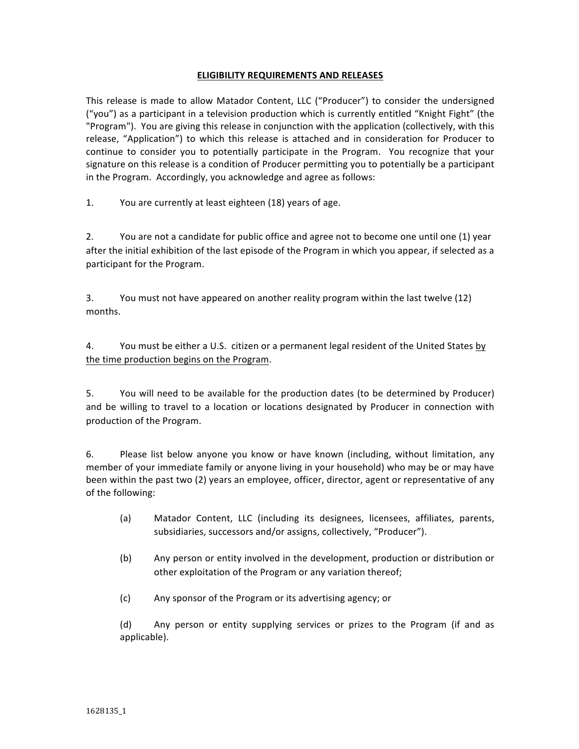## **ELIGIBILITY REQUIREMENTS AND RELEASES**

This release is made to allow Matador Content, LLC ("Producer") to consider the undersigned ("you") as a participant in a television production which is currently entitled "Knight Fight" (the "Program"). You are giving this release in conjunction with the application (collectively, with this release, "Application") to which this release is attached and in consideration for Producer to continue to consider you to potentially participate in the Program. You recognize that your signature on this release is a condition of Producer permitting you to potentially be a participant in the Program. Accordingly, you acknowledge and agree as follows:

1. You are currently at least eighteen (18) years of age.

2. You are not a candidate for public office and agree not to become one until one (1) year after the initial exhibition of the last episode of the Program in which you appear, if selected as a participant for the Program.

3. You must not have appeared on another reality program within the last twelve (12) months.

4. You must be either a U.S. citizen or a permanent legal resident of the United States by the time production begins on the Program.

5. You will need to be available for the production dates (to be determined by Producer) and be willing to travel to a location or locations designated by Producer in connection with production of the Program.

6. Please list below anyone you know or have known (including, without limitation, any member of your immediate family or anyone living in your household) who may be or may have been within the past two (2) years an employee, officer, director, agent or representative of any of the following:

- (a) Matador Content, LLC (including its designees, licensees, affiliates, parents, subsidiaries, successors and/or assigns, collectively, "Producer").
- (b) Any person or entity involved in the development, production or distribution or other exploitation of the Program or any variation thereof;
- (c) Any sponsor of the Program or its advertising agency; or

(d) Any person or entity supplying services or prizes to the Program (if and as applicable).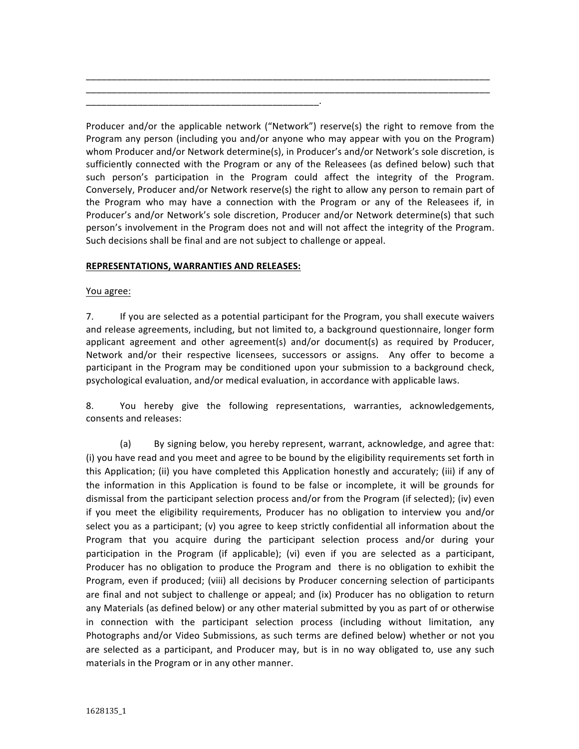Producer and/or the applicable network ("Network") reserve(s) the right to remove from the Program any person (including you and/or anyone who may appear with you on the Program) whom Producer and/or Network determine(s), in Producer's and/or Network's sole discretion, is sufficiently connected with the Program or any of the Releasees (as defined below) such that such person's participation in the Program could affect the integrity of the Program. Conversely, Producer and/or Network reserve(s) the right to allow any person to remain part of the Program who may have a connection with the Program or any of the Releasees if, in Producer's and/or Network's sole discretion, Producer and/or Network determine(s) that such person's involvement in the Program does not and will not affect the integrity of the Program. Such decisions shall be final and are not subject to challenge or appeal.

\_\_\_\_\_\_\_\_\_\_\_\_\_\_\_\_\_\_\_\_\_\_\_\_\_\_\_\_\_\_\_\_\_\_\_\_\_\_\_\_\_\_\_\_\_\_\_\_\_\_\_\_\_\_\_\_\_\_\_\_\_\_\_\_\_\_\_\_\_\_\_\_\_\_\_\_\_\_ \_\_\_\_\_\_\_\_\_\_\_\_\_\_\_\_\_\_\_\_\_\_\_\_\_\_\_\_\_\_\_\_\_\_\_\_\_\_\_\_\_\_\_\_\_\_\_\_\_\_\_\_\_\_\_\_\_\_\_\_\_\_\_\_\_\_\_\_\_\_\_\_\_\_\_\_\_\_

## **REPRESENTATIONS, WARRANTIES AND RELEASES:**

\_\_\_\_\_\_\_\_\_\_\_\_\_\_\_\_\_\_\_\_\_\_\_\_\_\_\_\_\_\_\_\_\_\_\_\_\_\_\_\_\_\_\_\_\_.

## You agree:

7. If you are selected as a potential participant for the Program, you shall execute waivers and release agreements, including, but not limited to, a background questionnaire, longer form applicant agreement and other agreement(s) and/or document(s) as required by Producer, Network and/or their respective licensees, successors or assigns. Any offer to become a participant in the Program may be conditioned upon your submission to a background check, psychological evaluation, and/or medical evaluation, in accordance with applicable laws.

8. You hereby give the following representations, warranties, acknowledgements, consents and releases:

(a) By signing below, you hereby represent, warrant, acknowledge, and agree that: (i) you have read and you meet and agree to be bound by the eligibility requirements set forth in this Application; (ii) you have completed this Application honestly and accurately; (iii) if any of the information in this Application is found to be false or incomplete, it will be grounds for dismissal from the participant selection process and/or from the Program (if selected); (iv) even if you meet the eligibility requirements, Producer has no obligation to interview you and/or select you as a participant; (v) you agree to keep strictly confidential all information about the Program that you acquire during the participant selection process and/or during your participation in the Program (if applicable); (vi) even if you are selected as a participant, Producer has no obligation to produce the Program and there is no obligation to exhibit the Program, even if produced; (viii) all decisions by Producer concerning selection of participants are final and not subject to challenge or appeal; and (ix) Producer has no obligation to return any Materials (as defined below) or any other material submitted by you as part of or otherwise in connection with the participant selection process (including without limitation, any Photographs and/or Video Submissions, as such terms are defined below) whether or not you are selected as a participant, and Producer may, but is in no way obligated to, use any such materials in the Program or in any other manner.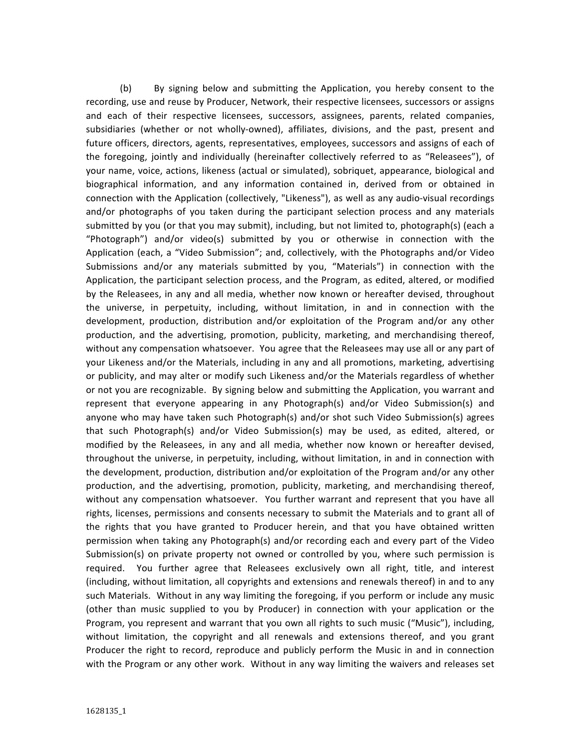(b) By signing below and submitting the Application, you hereby consent to the recording, use and reuse by Producer, Network, their respective licensees, successors or assigns and each of their respective licensees, successors, assignees, parents, related companies, subsidiaries (whether or not wholly-owned), affiliates, divisions, and the past, present and future officers, directors, agents, representatives, employees, successors and assigns of each of the foregoing, jointly and individually (hereinafter collectively referred to as "Releasees"), of your name, voice, actions, likeness (actual or simulated), sobriquet, appearance, biological and biographical information, and any information contained in, derived from or obtained in connection with the Application (collectively, "Likeness"), as well as any audio-visual recordings and/or photographs of you taken during the participant selection process and any materials submitted by you (or that you may submit), including, but not limited to, photograph(s) (each a "Photograph") and/or video(s) submitted by you or otherwise in connection with the Application (each, a "Video Submission"; and, collectively, with the Photographs and/or Video Submissions and/or any materials submitted by you, "Materials") in connection with the Application, the participant selection process, and the Program, as edited, altered, or modified by the Releasees, in any and all media, whether now known or hereafter devised, throughout the universe, in perpetuity, including, without limitation, in and in connection with the development, production, distribution and/or exploitation of the Program and/or any other production, and the advertising, promotion, publicity, marketing, and merchandising thereof, without any compensation whatsoever. You agree that the Releasees may use all or any part of your Likeness and/or the Materials, including in any and all promotions, marketing, advertising or publicity, and may alter or modify such Likeness and/or the Materials regardless of whether or not you are recognizable. By signing below and submitting the Application, you warrant and represent that everyone appearing in any Photograph(s) and/or Video Submission(s) and anyone who may have taken such Photograph(s) and/or shot such Video Submission(s) agrees that such Photograph(s) and/or Video Submission(s) may be used, as edited, altered, or modified by the Releasees, in any and all media, whether now known or hereafter devised, throughout the universe, in perpetuity, including, without limitation, in and in connection with the development, production, distribution and/or exploitation of the Program and/or any other production, and the advertising, promotion, publicity, marketing, and merchandising thereof, without any compensation whatsoever. You further warrant and represent that you have all rights, licenses, permissions and consents necessary to submit the Materials and to grant all of the rights that you have granted to Producer herein, and that you have obtained written permission when taking any Photograph(s) and/or recording each and every part of the Video Submission(s) on private property not owned or controlled by you, where such permission is required. You further agree that Releasees exclusively own all right, title, and interest (including, without limitation, all copyrights and extensions and renewals thereof) in and to any such Materials. Without in any way limiting the foregoing, if you perform or include any music (other than music supplied to you by Producer) in connection with your application or the Program, you represent and warrant that you own all rights to such music ("Music"), including, without limitation, the copyright and all renewals and extensions thereof, and you grant Producer the right to record, reproduce and publicly perform the Music in and in connection with the Program or any other work. Without in any way limiting the waivers and releases set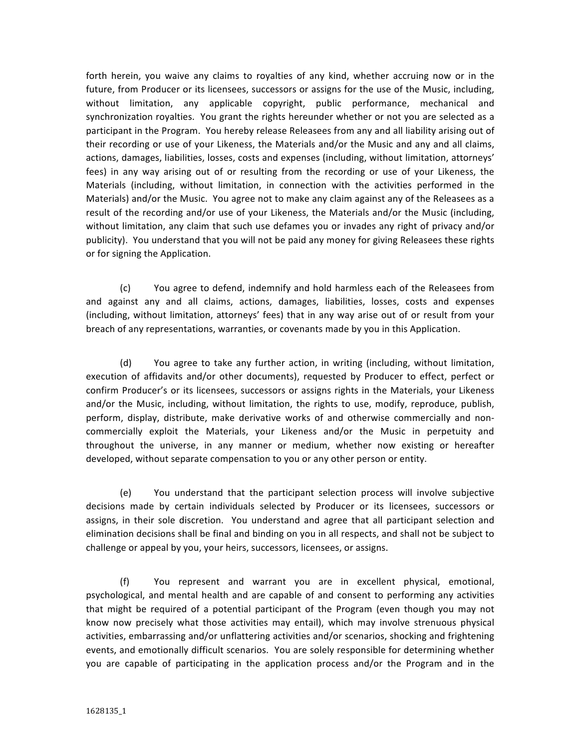forth herein, you waive any claims to royalties of any kind, whether accruing now or in the future, from Producer or its licensees, successors or assigns for the use of the Music, including, without limitation, any applicable copyright, public performance, mechanical and synchronization royalties. You grant the rights hereunder whether or not you are selected as a participant in the Program. You hereby release Releasees from any and all liability arising out of their recording or use of your Likeness, the Materials and/or the Music and any and all claims, actions, damages, liabilities, losses, costs and expenses (including, without limitation, attorneys' fees) in any way arising out of or resulting from the recording or use of your Likeness, the Materials (including, without limitation, in connection with the activities performed in the Materials) and/or the Music. You agree not to make any claim against any of the Releasees as a result of the recording and/or use of your Likeness, the Materials and/or the Music (including, without limitation, any claim that such use defames you or invades any right of privacy and/or publicity). You understand that you will not be paid any money for giving Releasees these rights or for signing the Application.

(c) You agree to defend, indemnify and hold harmless each of the Releasees from and against any and all claims, actions, damages, liabilities, losses, costs and expenses (including, without limitation, attorneys' fees) that in any way arise out of or result from your breach of any representations, warranties, or covenants made by you in this Application.

(d) You agree to take any further action, in writing (including, without limitation, execution of affidavits and/or other documents), requested by Producer to effect, perfect or confirm Producer's or its licensees, successors or assigns rights in the Materials, your Likeness and/or the Music, including, without limitation, the rights to use, modify, reproduce, publish, perform, display, distribute, make derivative works of and otherwise commercially and noncommercially exploit the Materials, your Likeness and/or the Music in perpetuity and throughout the universe, in any manner or medium, whether now existing or hereafter developed, without separate compensation to you or any other person or entity.

(e) You understand that the participant selection process will involve subjective decisions made by certain individuals selected by Producer or its licensees, successors or assigns, in their sole discretion. You understand and agree that all participant selection and elimination decisions shall be final and binding on you in all respects, and shall not be subject to challenge or appeal by you, your heirs, successors, licensees, or assigns.

(f) You represent and warrant you are in excellent physical, emotional, psychological, and mental health and are capable of and consent to performing any activities that might be required of a potential participant of the Program (even though you may not know now precisely what those activities may entail), which may involve strenuous physical activities, embarrassing and/or unflattering activities and/or scenarios, shocking and frightening events, and emotionally difficult scenarios. You are solely responsible for determining whether you are capable of participating in the application process and/or the Program and in the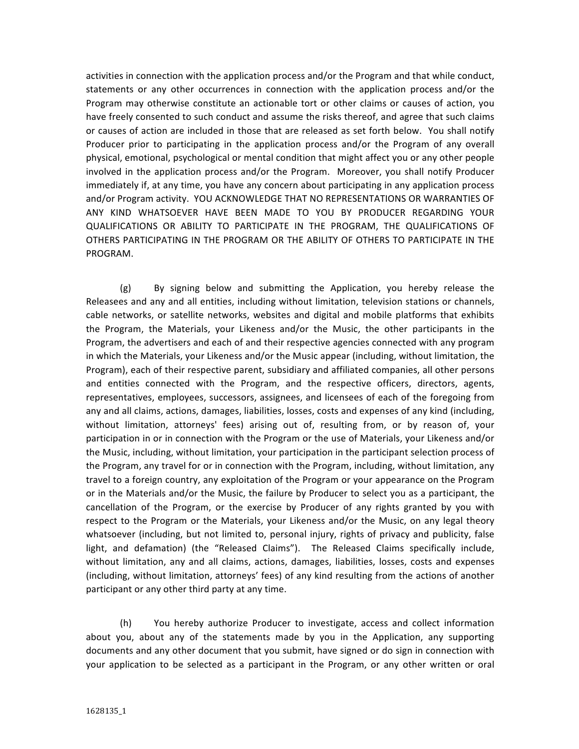activities in connection with the application process and/or the Program and that while conduct, statements or any other occurrences in connection with the application process and/or the Program may otherwise constitute an actionable tort or other claims or causes of action, you have freely consented to such conduct and assume the risks thereof, and agree that such claims or causes of action are included in those that are released as set forth below. You shall notify Producer prior to participating in the application process and/or the Program of any overall physical, emotional, psychological or mental condition that might affect you or any other people involved in the application process and/or the Program. Moreover, you shall notify Producer immediately if, at any time, you have any concern about participating in any application process and/or Program activity. YOU ACKNOWLEDGE THAT NO REPRESENTATIONS OR WARRANTIES OF ANY KIND WHATSOEVER HAVE BEEN MADE TO YOU BY PRODUCER REGARDING YOUR QUALIFICATIONS OR ABILITY TO PARTICIPATE IN THE PROGRAM, THE QUALIFICATIONS OF OTHERS PARTICIPATING IN THE PROGRAM OR THE ABILITY OF OTHERS TO PARTICIPATE IN THE PROGRAM.

 $(g)$  By signing below and submitting the Application, you hereby release the Releasees and any and all entities, including without limitation, television stations or channels, cable networks, or satellite networks, websites and digital and mobile platforms that exhibits the Program, the Materials, your Likeness and/or the Music, the other participants in the Program, the advertisers and each of and their respective agencies connected with any program in which the Materials, your Likeness and/or the Music appear (including, without limitation, the Program), each of their respective parent, subsidiary and affiliated companies, all other persons and entities connected with the Program, and the respective officers, directors, agents, representatives, employees, successors, assignees, and licensees of each of the foregoing from any and all claims, actions, damages, liabilities, losses, costs and expenses of any kind (including, without limitation, attorneys' fees) arising out of, resulting from, or by reason of, your participation in or in connection with the Program or the use of Materials, your Likeness and/or the Music, including, without limitation, your participation in the participant selection process of the Program, any travel for or in connection with the Program, including, without limitation, any travel to a foreign country, any exploitation of the Program or your appearance on the Program or in the Materials and/or the Music, the failure by Producer to select you as a participant, the cancellation of the Program, or the exercise by Producer of any rights granted by you with respect to the Program or the Materials, your Likeness and/or the Music, on any legal theory whatsoever (including, but not limited to, personal injury, rights of privacy and publicity, false light, and defamation) (the "Released Claims"). The Released Claims specifically include, without limitation, any and all claims, actions, damages, liabilities, losses, costs and expenses (including, without limitation, attorneys' fees) of any kind resulting from the actions of another participant or any other third party at any time.

(h) You hereby authorize Producer to investigate, access and collect information about you, about any of the statements made by you in the Application, any supporting documents and any other document that you submit, have signed or do sign in connection with your application to be selected as a participant in the Program, or any other written or oral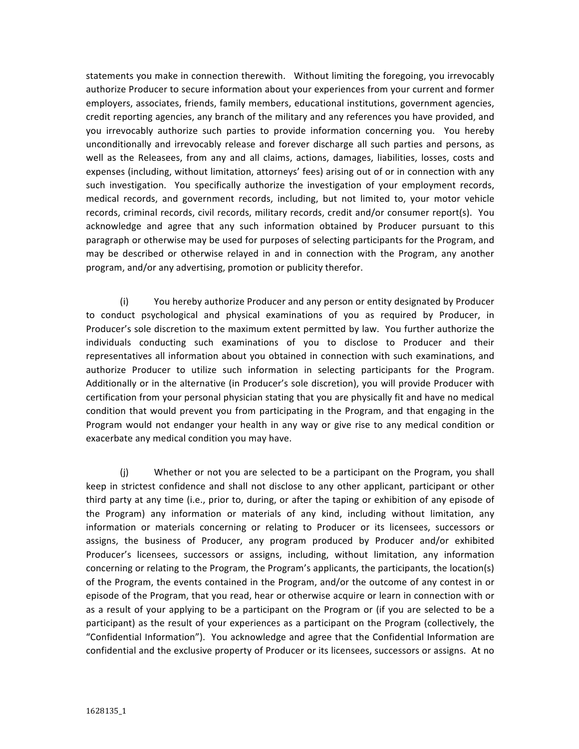statements you make in connection therewith. Without limiting the foregoing, you irrevocably authorize Producer to secure information about your experiences from your current and former employers, associates, friends, family members, educational institutions, government agencies, credit reporting agencies, any branch of the military and any references you have provided, and you irrevocably authorize such parties to provide information concerning you. You hereby unconditionally and irrevocably release and forever discharge all such parties and persons, as well as the Releasees, from any and all claims, actions, damages, liabilities, losses, costs and expenses (including, without limitation, attorneys' fees) arising out of or in connection with any such investigation. You specifically authorize the investigation of your employment records, medical records, and government records, including, but not limited to, your motor vehicle records, criminal records, civil records, military records, credit and/or consumer report(s). You acknowledge and agree that any such information obtained by Producer pursuant to this paragraph or otherwise may be used for purposes of selecting participants for the Program, and may be described or otherwise relayed in and in connection with the Program, any another program, and/or any advertising, promotion or publicity therefor.

(i) You hereby authorize Producer and any person or entity designated by Producer to conduct psychological and physical examinations of you as required by Producer, in Producer's sole discretion to the maximum extent permitted by law. You further authorize the individuals conducting such examinations of you to disclose to Producer and their representatives all information about you obtained in connection with such examinations, and authorize Producer to utilize such information in selecting participants for the Program. Additionally or in the alternative (in Producer's sole discretion), you will provide Producer with certification from your personal physician stating that you are physically fit and have no medical condition that would prevent you from participating in the Program, and that engaging in the Program would not endanger your health in any way or give rise to any medical condition or exacerbate any medical condition you may have.

(j) Whether or not you are selected to be a participant on the Program, you shall keep in strictest confidence and shall not disclose to any other applicant, participant or other third party at any time (i.e., prior to, during, or after the taping or exhibition of any episode of the Program) any information or materials of any kind, including without limitation, any information or materials concerning or relating to Producer or its licensees, successors or assigns, the business of Producer, any program produced by Producer and/or exhibited Producer's licensees, successors or assigns, including, without limitation, any information concerning or relating to the Program, the Program's applicants, the participants, the location(s) of the Program, the events contained in the Program, and/or the outcome of any contest in or episode of the Program, that you read, hear or otherwise acquire or learn in connection with or as a result of your applying to be a participant on the Program or (if you are selected to be a participant) as the result of your experiences as a participant on the Program (collectively, the "Confidential Information"). You acknowledge and agree that the Confidential Information are confidential and the exclusive property of Producer or its licensees, successors or assigns. At no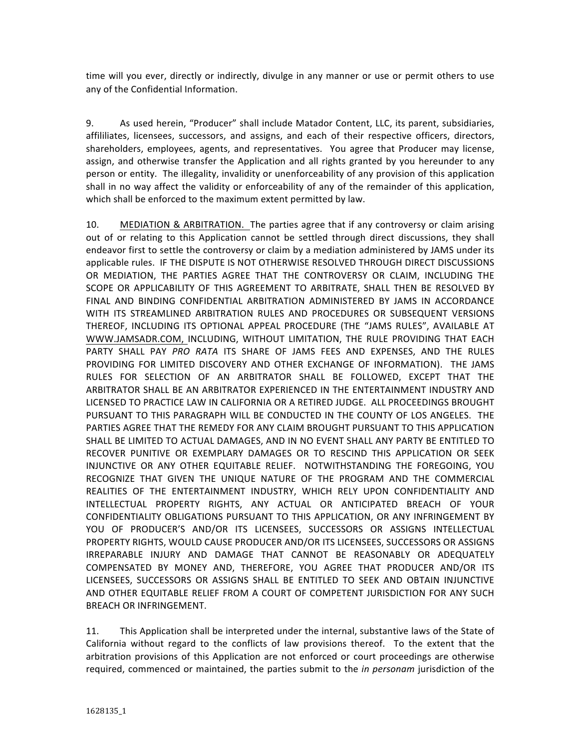time will you ever, directly or indirectly, divulge in any manner or use or permit others to use any of the Confidential Information.

9. As used herein, "Producer" shall include Matador Content, LLC, its parent, subsidiaries, affililiates, licensees, successors, and assigns, and each of their respective officers, directors, shareholders, employees, agents, and representatives. You agree that Producer may license, assign, and otherwise transfer the Application and all rights granted by you hereunder to any person or entity. The illegality, invalidity or unenforceability of any provision of this application shall in no way affect the validity or enforceability of any of the remainder of this application, which shall be enforced to the maximum extent permitted by law.

10. MEDIATION & ARBITRATION. The parties agree that if any controversy or claim arising out of or relating to this Application cannot be settled through direct discussions, they shall endeavor first to settle the controversy or claim by a mediation administered by JAMS under its applicable rules. IF THE DISPUTE IS NOT OTHERWISE RESOLVED THROUGH DIRECT DISCUSSIONS OR MEDIATION, THE PARTIES AGREE THAT THE CONTROVERSY OR CLAIM, INCLUDING THE SCOPE OR APPLICABILITY OF THIS AGREEMENT TO ARBITRATE, SHALL THEN BE RESOLVED BY FINAL AND BINDING CONFIDENTIAL ARBITRATION ADMINISTERED BY JAMS IN ACCORDANCE WITH ITS STREAMLINED ARBITRATION RULES AND PROCEDURES OR SUBSEQUENT VERSIONS THEREOF, INCLUDING ITS OPTIONAL APPEAL PROCEDURE (THE "JAMS RULES", AVAILABLE AT WWW.JAMSADR.COM, INCLUDING, WITHOUT LIMITATION, THE RULE PROVIDING THAT EACH PARTY SHALL PAY PRO RATA ITS SHARE OF JAMS FEES AND EXPENSES, AND THE RULES PROVIDING FOR LIMITED DISCOVERY AND OTHER EXCHANGE OF INFORMATION). THE JAMS RULES FOR SELECTION OF AN ARBITRATOR SHALL BE FOLLOWED, EXCEPT THAT THE ARBITRATOR SHALL BE AN ARBITRATOR EXPERIENCED IN THE ENTERTAINMENT INDUSTRY AND LICENSED TO PRACTICE LAW IN CALIFORNIA OR A RETIRED JUDGE. ALL PROCEEDINGS BROUGHT PURSUANT TO THIS PARAGRAPH WILL BE CONDUCTED IN THE COUNTY OF LOS ANGELES. THE PARTIES AGREE THAT THE REMEDY FOR ANY CLAIM BROUGHT PURSUANT TO THIS APPLICATION SHALL BE LIMITED TO ACTUAL DAMAGES, AND IN NO EVENT SHALL ANY PARTY BE ENTITLED TO RECOVER PUNITIVE OR EXEMPLARY DAMAGES OR TO RESCIND THIS APPLICATION OR SEEK INJUNCTIVE OR ANY OTHER EQUITABLE RELIEF. NOTWITHSTANDING THE FOREGOING, YOU RECOGNIZE THAT GIVEN THE UNIQUE NATURE OF THE PROGRAM AND THE COMMERCIAL REALITIES OF THE ENTERTAINMENT INDUSTRY, WHICH RELY UPON CONFIDENTIALITY AND INTELLECTUAL PROPERTY RIGHTS, ANY ACTUAL OR ANTICIPATED BREACH OF YOUR CONFIDENTIALITY OBLIGATIONS PURSUANT TO THIS APPLICATION, OR ANY INFRINGEMENT BY YOU OF PRODUCER'S AND/OR ITS LICENSEES, SUCCESSORS OR ASSIGNS INTELLECTUAL PROPERTY RIGHTS, WOULD CAUSE PRODUCER AND/OR ITS LICENSEES, SUCCESSORS OR ASSIGNS IRREPARABLE INJURY AND DAMAGE THAT CANNOT BE REASONABLY OR ADEQUATELY COMPENSATED BY MONEY AND, THEREFORE, YOU AGREE THAT PRODUCER AND/OR ITS LICENSEES, SUCCESSORS OR ASSIGNS SHALL BE ENTITLED TO SEEK AND OBTAIN INJUNCTIVE AND OTHER EQUITABLE RELIEF FROM A COURT OF COMPETENT JURISDICTION FOR ANY SUCH BREACH OR INFRINGEMENT.

11. This Application shall be interpreted under the internal, substantive laws of the State of California without regard to the conflicts of law provisions thereof. To the extent that the arbitration provisions of this Application are not enforced or court proceedings are otherwise required, commenced or maintained, the parties submit to the *in personam* jurisdiction of the